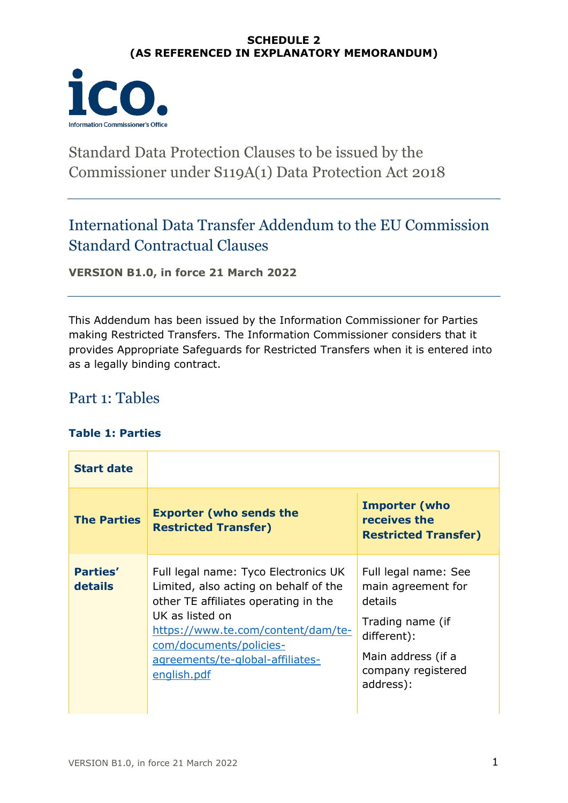### **SCHEDULE 2 (AS REFERENCED IN EXPLANATORY MEMORANDUM)**



# Standard Data Protection Clauses to be issued by the Commissioner under S119A(1) Data Protection Act 2018

## International Data Transfer Addendum to the EU Commission Standard Contractual Clauses

**VERSION B1.0, in force 21 March 2022**

This Addendum has been issued by the Information Commissioner for Parties making Restricted Transfers. The Information Commissioner considers that it provides Appropriate Safeguards for Restricted Transfers when it is entered into as a legally binding contract.

## Part 1: Tables

### **Table 1: Parties**

| <b>Start date</b>          |                                                                                                                                                                                                                                                              |                                                                                                                                                   |
|----------------------------|--------------------------------------------------------------------------------------------------------------------------------------------------------------------------------------------------------------------------------------------------------------|---------------------------------------------------------------------------------------------------------------------------------------------------|
| <b>The Parties</b>         | <b>Exporter (who sends the</b><br><b>Restricted Transfer)</b>                                                                                                                                                                                                | <b>Importer (who</b><br>receives the<br><b>Restricted Transfer)</b>                                                                               |
| <b>Parties'</b><br>details | Full legal name: Tyco Electronics UK<br>Limited, also acting on behalf of the<br>other TE affiliates operating in the<br>UK as listed on<br>https://www.te.com/content/dam/te-<br>com/documents/policies-<br>agreements/te-global-affiliates-<br>english.pdf | Full legal name: See<br>main agreement for<br>details<br>Trading name (if<br>different):<br>Main address (if a<br>company registered<br>address): |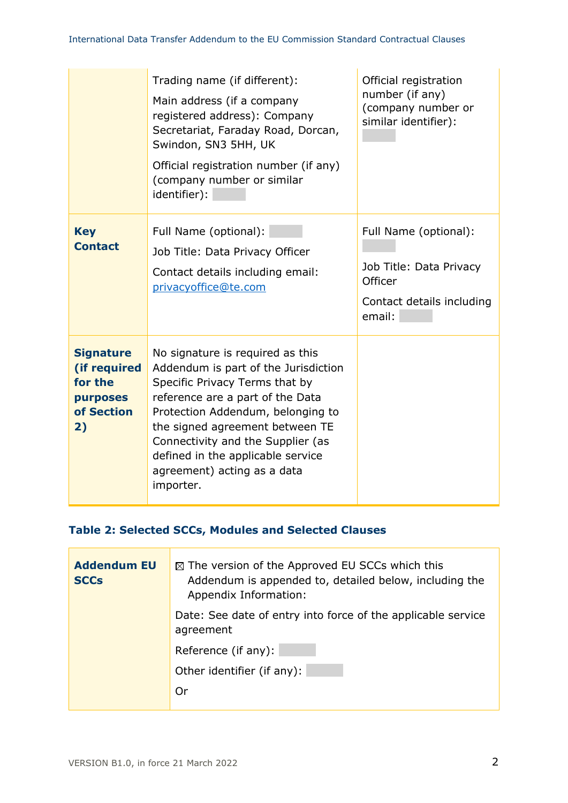|                                                                                    | Trading name (if different):<br>Main address (if a company<br>registered address): Company<br>Secretariat, Faraday Road, Dorcan,<br>Swindon, SN3 5HH, UK<br>Official registration number (if any)<br>(company number or similar<br>identifier):                                                                                              | Official registration<br>number (if any)<br>(company number or<br>similar identifier):             |
|------------------------------------------------------------------------------------|----------------------------------------------------------------------------------------------------------------------------------------------------------------------------------------------------------------------------------------------------------------------------------------------------------------------------------------------|----------------------------------------------------------------------------------------------------|
| <b>Key</b><br><b>Contact</b>                                                       | Full Name (optional):<br>Job Title: Data Privacy Officer<br>Contact details including email:<br>privacyoffice@te.com                                                                                                                                                                                                                         | Full Name (optional):<br>Job Title: Data Privacy<br>Officer<br>Contact details including<br>email: |
| <b>Signature</b><br>(if required<br>for the<br><b>purposes</b><br>of Section<br>2) | No signature is required as this<br>Addendum is part of the Jurisdiction<br>Specific Privacy Terms that by<br>reference are a part of the Data<br>Protection Addendum, belonging to<br>the signed agreement between TE<br>Connectivity and the Supplier (as<br>defined in the applicable service<br>agreement) acting as a data<br>importer. |                                                                                                    |

### **Table 2: Selected SCCs, Modules and Selected Clauses**

| <b>Addendum EU</b><br><b>SCCs</b> | $\boxtimes$ The version of the Approved EU SCCs which this<br>Addendum is appended to, detailed below, including the<br>Appendix Information: |
|-----------------------------------|-----------------------------------------------------------------------------------------------------------------------------------------------|
|                                   | Date: See date of entry into force of the applicable service<br>agreement                                                                     |
|                                   | Reference (if any):                                                                                                                           |
|                                   | Other identifier (if any):                                                                                                                    |
|                                   | Or                                                                                                                                            |

<u> Tanzania (h. 1888).</u>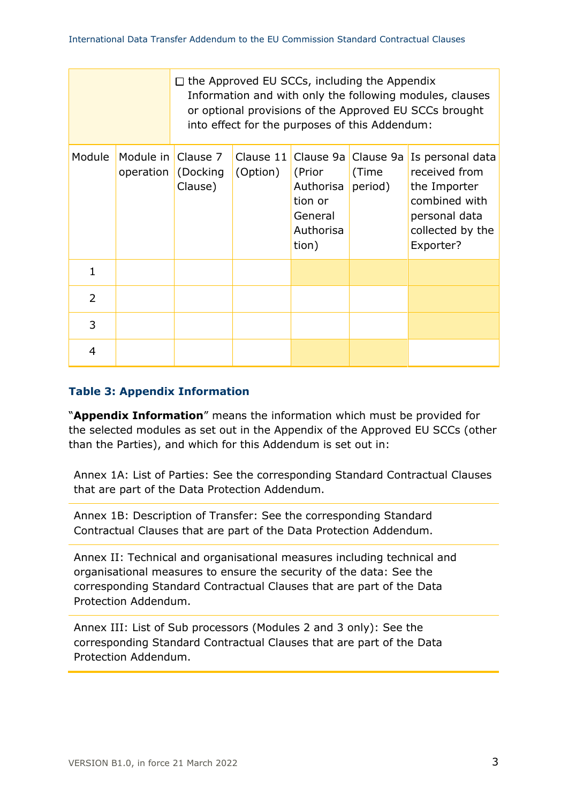|                |                                 |                      |                       | $\Box$ the Approved EU SCCs, including the Appendix<br>into effect for the purposes of this Addendum: |                               | Information and with only the following modules, clauses<br>or optional provisions of the Approved EU SCCs brought   |
|----------------|---------------------------------|----------------------|-----------------------|-------------------------------------------------------------------------------------------------------|-------------------------------|----------------------------------------------------------------------------------------------------------------------|
| Module         | Module in Clause 7<br>operation | (Docking)<br>Clause) | Clause 11<br>(Option) | Clause 9a<br>(Prior<br>Authorisa<br>tion or<br>General<br>Authorisa<br>tion)                          | Clause 9a<br>(Time<br>period) | Is personal data<br>received from<br>the Importer<br>combined with<br>personal data<br>collected by the<br>Exporter? |
| 1              |                                 |                      |                       |                                                                                                       |                               |                                                                                                                      |
| $\overline{2}$ |                                 |                      |                       |                                                                                                       |                               |                                                                                                                      |
| 3              |                                 |                      |                       |                                                                                                       |                               |                                                                                                                      |
| 4              |                                 |                      |                       |                                                                                                       |                               |                                                                                                                      |

### **Table 3: Appendix Information**

"**Appendix Information**" means the information which must be provided for the selected modules as set out in the Appendix of the Approved EU SCCs (other than the Parties), and which for this Addendum is set out in:

Annex 1A: List of Parties: See the corresponding Standard Contractual Clauses that are part of the Data Protection Addendum.

Annex 1B: Description of Transfer: See the corresponding Standard Contractual Clauses that are part of the Data Protection Addendum.

Annex II: Technical and organisational measures including technical and organisational measures to ensure the security of the data: See the corresponding Standard Contractual Clauses that are part of the Data Protection Addendum.

Annex III: List of Sub processors (Modules 2 and 3 only): See the corresponding Standard Contractual Clauses that are part of the Data Protection Addendum.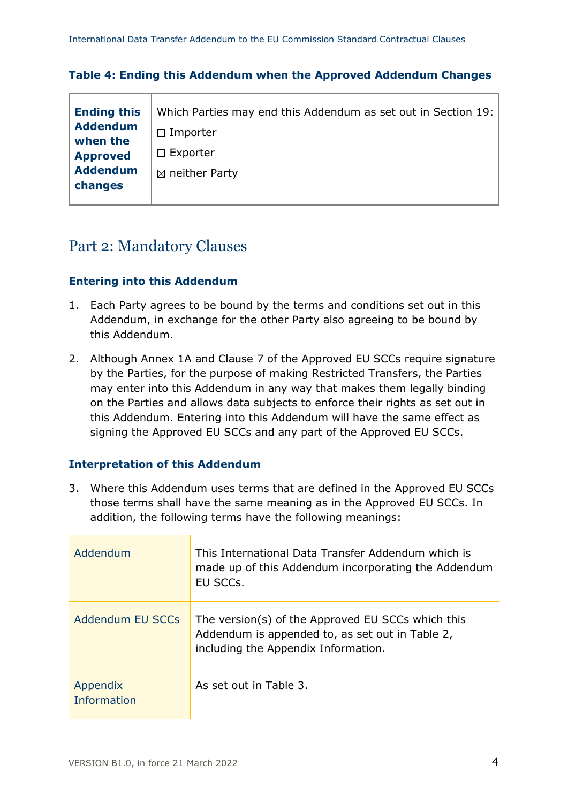|  | Table 4: Ending this Addendum when the Approved Addendum Changes |  |
|--|------------------------------------------------------------------|--|
|--|------------------------------------------------------------------|--|

| <b>Ending this</b> | Which Parties may end this Addendum as set out in Section 19: |
|--------------------|---------------------------------------------------------------|
| <b>Addendum</b>    | $\Box$ Importer                                               |
| when the           |                                                               |
| <b>Approved</b>    | $\Box$ Exporter                                               |
| <b>Addendum</b>    | $\boxtimes$ neither Party                                     |
| changes            |                                                               |
|                    |                                                               |

## Part 2: Mandatory Clauses

### **Entering into this Addendum**

- 1. Each Party agrees to be bound by the terms and conditions set out in this Addendum, in exchange for the other Party also agreeing to be bound by this Addendum.
- 2. Although Annex 1A and Clause 7 of the Approved EU SCCs require signature by the Parties, for the purpose of making Restricted Transfers, the Parties may enter into this Addendum in any way that makes them legally binding on the Parties and allows data subjects to enforce their rights as set out in this Addendum. Entering into this Addendum will have the same effect as signing the Approved EU SCCs and any part of the Approved EU SCCs.

### **Interpretation of this Addendum**

3. Where this Addendum uses terms that are defined in the Approved EU SCCs those terms shall have the same meaning as in the Approved EU SCCs. In addition, the following terms have the following meanings:

| Addendum                | This International Data Transfer Addendum which is<br>made up of this Addendum incorporating the Addendum<br>EU SCCs.                       |
|-------------------------|---------------------------------------------------------------------------------------------------------------------------------------------|
| Addendum EU SCCs        | The version(s) of the Approved EU SCCs which this<br>Addendum is appended to, as set out in Table 2,<br>including the Appendix Information. |
| Appendix<br>Information | As set out in Table 3.                                                                                                                      |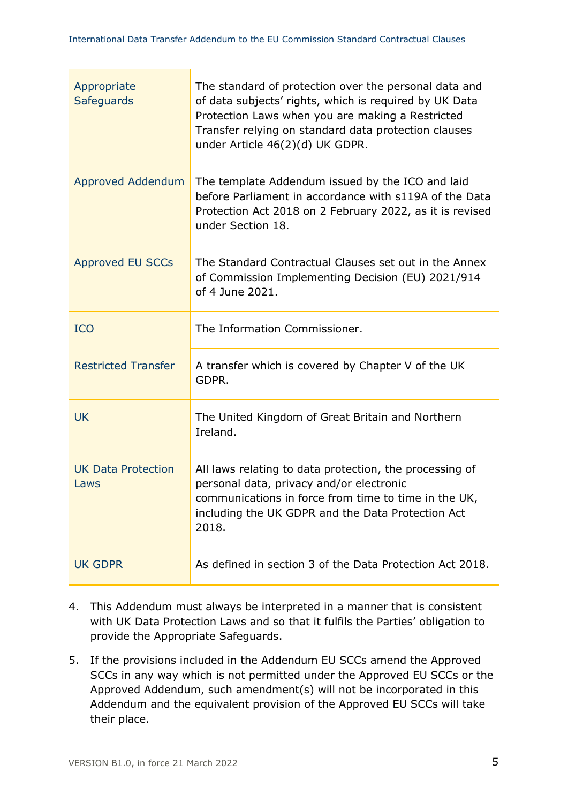**Contract Contract Contract** 

| Appropriate<br><b>Safeguards</b>  | The standard of protection over the personal data and<br>of data subjects' rights, which is required by UK Data<br>Protection Laws when you are making a Restricted<br>Transfer relying on standard data protection clauses<br>under Article 46(2)(d) UK GDPR. |
|-----------------------------------|----------------------------------------------------------------------------------------------------------------------------------------------------------------------------------------------------------------------------------------------------------------|
| <b>Approved Addendum</b>          | The template Addendum issued by the ICO and laid<br>before Parliament in accordance with s119A of the Data<br>Protection Act 2018 on 2 February 2022, as it is revised<br>under Section 18.                                                                    |
| <b>Approved EU SCCs</b>           | The Standard Contractual Clauses set out in the Annex<br>of Commission Implementing Decision (EU) 2021/914<br>of 4 June 2021.                                                                                                                                  |
| <b>ICO</b>                        | The Information Commissioner.                                                                                                                                                                                                                                  |
| <b>Restricted Transfer</b>        | A transfer which is covered by Chapter V of the UK<br>GDPR.                                                                                                                                                                                                    |
| <b>UK</b>                         | The United Kingdom of Great Britain and Northern<br>Ireland.                                                                                                                                                                                                   |
| <b>UK Data Protection</b><br>Laws | All laws relating to data protection, the processing of<br>personal data, privacy and/or electronic<br>communications in force from time to time in the UK.<br>including the UK GDPR and the Data Protection Act<br>2018.                                      |
| <b>UK GDPR</b>                    | As defined in section 3 of the Data Protection Act 2018.                                                                                                                                                                                                       |

- 4. This Addendum must always be interpreted in a manner that is consistent with UK Data Protection Laws and so that it fulfils the Parties' obligation to provide the Appropriate Safeguards.
- 5. If the provisions included in the Addendum EU SCCs amend the Approved SCCs in any way which is not permitted under the Approved EU SCCs or the Approved Addendum, such amendment(s) will not be incorporated in this Addendum and the equivalent provision of the Approved EU SCCs will take their place.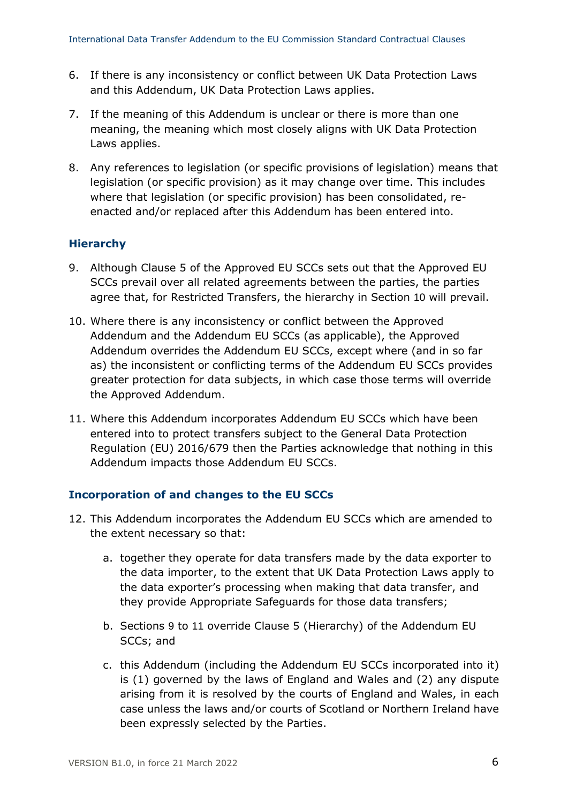- 6. If there is any inconsistency or conflict between UK Data Protection Laws and this Addendum, UK Data Protection Laws applies.
- 7. If the meaning of this Addendum is unclear or there is more than one meaning, the meaning which most closely aligns with UK Data Protection Laws applies.
- 8. Any references to legislation (or specific provisions of legislation) means that legislation (or specific provision) as it may change over time. This includes where that legislation (or specific provision) has been consolidated, reenacted and/or replaced after this Addendum has been entered into.

### **Hierarchy**

- <span id="page-5-1"></span>9. Although Clause 5 of the Approved EU SCCs sets out that the Approved EU SCCs prevail over all related agreements between the parties, the parties agree that, for Restricted Transfers, the hierarchy in Section [10](#page-5-0) will prevail.
- <span id="page-5-0"></span>10. Where there is any inconsistency or conflict between the Approved Addendum and the Addendum EU SCCs (as applicable), the Approved Addendum overrides the Addendum EU SCCs, except where (and in so far as) the inconsistent or conflicting terms of the Addendum EU SCCs provides greater protection for data subjects, in which case those terms will override the Approved Addendum.
- <span id="page-5-2"></span>11. Where this Addendum incorporates Addendum EU SCCs which have been entered into to protect transfers subject to the General Data Protection Regulation (EU) 2016/679 then the Parties acknowledge that nothing in this Addendum impacts those Addendum EU SCCs.

### **Incorporation of and changes to the EU SCCs**

- <span id="page-5-3"></span>12. This Addendum incorporates the Addendum EU SCCs which are amended to the extent necessary so that:
	- a. together they operate for data transfers made by the data exporter to the data importer, to the extent that UK Data Protection Laws apply to the data exporter's processing when making that data transfer, and they provide Appropriate Safeguards for those data transfers;
	- b. Sections [9](#page-5-1) to [11](#page-5-2) override Clause 5 (Hierarchy) of the Addendum EU SCCs; and
	- c. this Addendum (including the Addendum EU SCCs incorporated into it) is (1) governed by the laws of England and Wales and (2) any dispute arising from it is resolved by the courts of England and Wales, in each case unless the laws and/or courts of Scotland or Northern Ireland have been expressly selected by the Parties.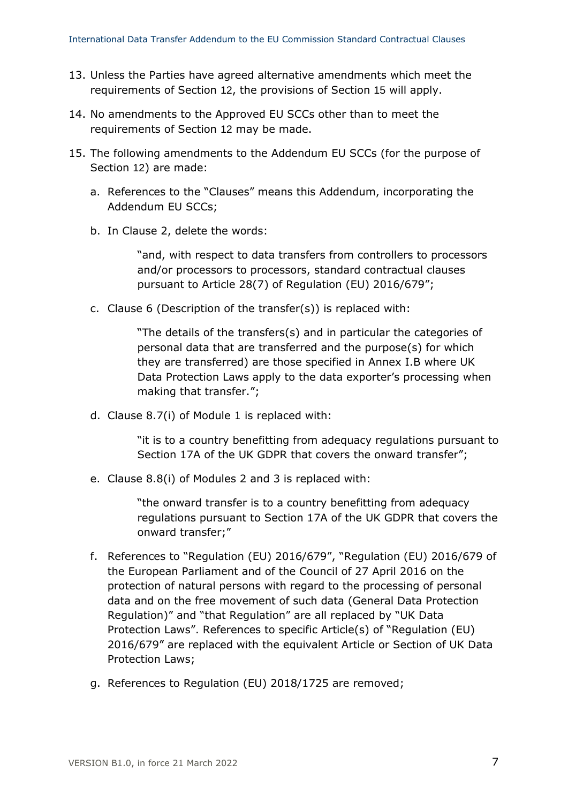- 13. Unless the Parties have agreed alternative amendments which meet the requirements of Section [12](#page-5-3), the provisions of Section [15](#page-6-0) will apply.
- 14. No amendments to the Approved EU SCCs other than to meet the requirements of Section [12](#page-5-3) may be made.
- <span id="page-6-0"></span>15. The following amendments to the Addendum EU SCCs (for the purpose of Section [12](#page-5-3)) are made:
	- a. References to the "Clauses" means this Addendum, incorporating the Addendum EU SCCs;
	- b. In Clause 2, delete the words:

"and, with respect to data transfers from controllers to processors and/or processors to processors, standard contractual clauses pursuant to Article 28(7) of Regulation (EU) 2016/679";

c. Clause 6 (Description of the transfer(s)) is replaced with:

"The details of the transfers(s) and in particular the categories of personal data that are transferred and the purpose(s) for which they are transferred) are those specified in Annex I.B where UK Data Protection Laws apply to the data exporter's processing when making that transfer.";

d. Clause 8.7(i) of Module 1 is replaced with:

"it is to a country benefitting from adequacy regulations pursuant to Section 17A of the UK GDPR that covers the onward transfer";

e. Clause 8.8(i) of Modules 2 and 3 is replaced with:

"the onward transfer is to a country benefitting from adequacy regulations pursuant to Section 17A of the UK GDPR that covers the onward transfer;"

- f. References to "Regulation (EU) 2016/679", "Regulation (EU) 2016/679 of the European Parliament and of the Council of 27 April 2016 on the protection of natural persons with regard to the processing of personal data and on the free movement of such data (General Data Protection Regulation)" and "that Regulation" are all replaced by "UK Data Protection Laws". References to specific Article(s) of "Regulation (EU) 2016/679" are replaced with the equivalent Article or Section of UK Data Protection Laws;
- g. References to Regulation (EU) 2018/1725 are removed;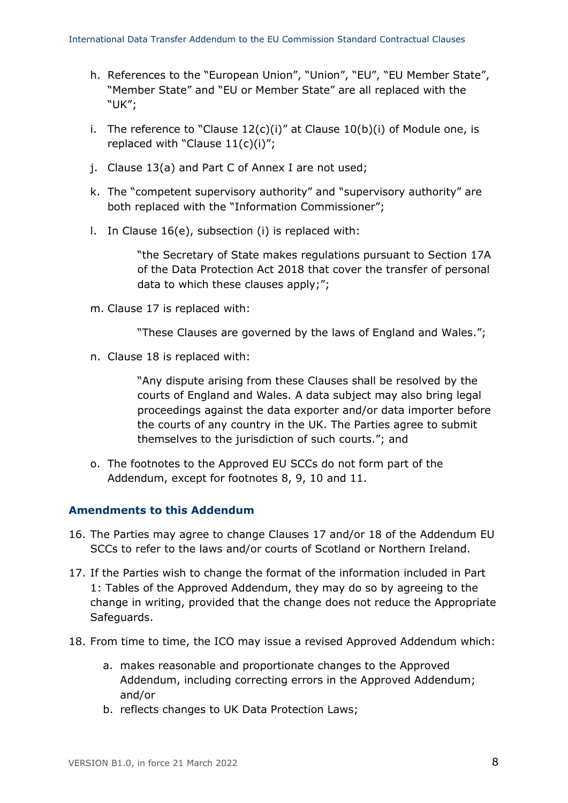- h. References to the "European Union", "Union", "EU", "EU Member State", "Member State" and "EU or Member State" are all replaced with the "UK";
- i. The reference to "Clause  $12(c)(i)$ " at Clause  $10(b)(i)$  of Module one, is replaced with "Clause 11(c)(i)";
- j. Clause 13(a) and Part C of Annex I are not used;
- k. The "competent supervisory authority" and "supervisory authority" are both replaced with the "Information Commissioner";
- l. In Clause 16(e), subsection (i) is replaced with:

"the Secretary of State makes regulations pursuant to Section 17A of the Data Protection Act 2018 that cover the transfer of personal data to which these clauses apply;";

m. Clause 17 is replaced with:

"These Clauses are governed by the laws of England and Wales.";

n. Clause 18 is replaced with:

"Any dispute arising from these Clauses shall be resolved by the courts of England and Wales. A data subject may also bring legal proceedings against the data exporter and/or data importer before the courts of any country in the UK. The Parties agree to submit themselves to the jurisdiction of such courts."; and

o. The footnotes to the Approved EU SCCs do not form part of the Addendum, except for footnotes 8, 9, 10 and 11.

#### **Amendments to this Addendum**

- 16. The Parties may agree to change Clauses 17 and/or 18 of the Addendum EU SCCs to refer to the laws and/or courts of Scotland or Northern Ireland.
- 17. If the Parties wish to change the format of the information included in Part 1: Tables of the Approved Addendum, they may do so by agreeing to the change in writing, provided that the change does not reduce the Appropriate Safeguards.
- <span id="page-7-0"></span>18. From time to time, the ICO may issue a revised Approved Addendum which:
	- a. makes reasonable and proportionate changes to the Approved Addendum, including correcting errors in the Approved Addendum; and/or
	- b. reflects changes to UK Data Protection Laws;